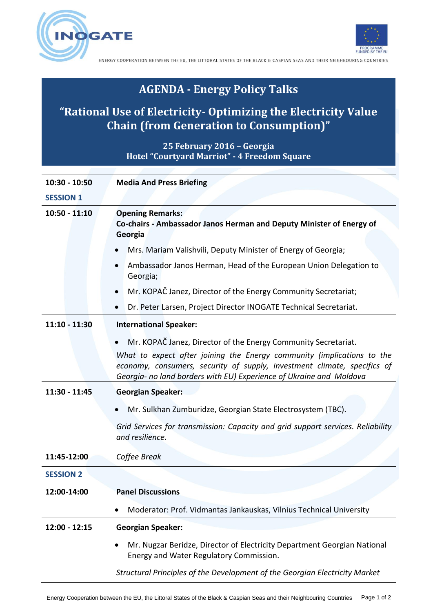**OGATE** 



ENERGY COOPERATION BETWEEN THE EU, THE LITTORAL STATES OF THE BLACK & CASPIAN SEAS AND THEIR NEIGHBOURING COUNTRIES

## **AGENDA - Energy Policy Talks**

## **"Rational Use of Electricity- Optimizing the Electricity Value Chain (from Generation to Consumption)"**

**25 February 2016 – Georgia Hotel "Courtyard Marriot" - 4 Freedom Square**

| 10:30 - 10:50    | <b>Media And Press Briefing</b>                                                                                                                                                                                           |
|------------------|---------------------------------------------------------------------------------------------------------------------------------------------------------------------------------------------------------------------------|
| <b>SESSION 1</b> |                                                                                                                                                                                                                           |
| $10:50 - 11:10$  | <b>Opening Remarks:</b><br>Co-chairs - Ambassador Janos Herman and Deputy Minister of Energy of<br>Georgia                                                                                                                |
|                  | Mrs. Mariam Valishvili, Deputy Minister of Energy of Georgia;                                                                                                                                                             |
|                  | Ambassador Janos Herman, Head of the European Union Delegation to<br>Georgia;                                                                                                                                             |
|                  | Mr. KOPAČ Janez, Director of the Energy Community Secretariat;                                                                                                                                                            |
|                  | Dr. Peter Larsen, Project Director INOGATE Technical Secretariat.                                                                                                                                                         |
| $11:10 - 11:30$  | <b>International Speaker:</b>                                                                                                                                                                                             |
|                  | Mr. KOPAČ Janez, Director of the Energy Community Secretariat.                                                                                                                                                            |
|                  | What to expect after joining the Energy community (implications to the<br>economy, consumers, security of supply, investment climate, specifics of<br>Georgia- no land borders with EU) Experience of Ukraine and Moldova |
| 11:30 - 11:45    | <b>Georgian Speaker:</b>                                                                                                                                                                                                  |
|                  | Mr. Sulkhan Zumburidze, Georgian State Electrosystem (TBC).                                                                                                                                                               |
|                  | Grid Services for transmission: Capacity and grid support services. Reliability<br>and resilience.                                                                                                                        |
| 11:45-12:00      | Coffee Break                                                                                                                                                                                                              |
| <b>SESSION 2</b> |                                                                                                                                                                                                                           |
| 12:00-14:00      | <b>Panel Discussions</b>                                                                                                                                                                                                  |
|                  | Moderator: Prof. Vidmantas Jankauskas, Vilnius Technical University                                                                                                                                                       |
| 12:00 - 12:15    | <b>Georgian Speaker:</b>                                                                                                                                                                                                  |
|                  | Mr. Nugzar Beridze, Director of Electricity Department Georgian National<br>Energy and Water Regulatory Commission.                                                                                                       |
|                  | Structural Principles of the Development of the Georgian Electricity Market                                                                                                                                               |